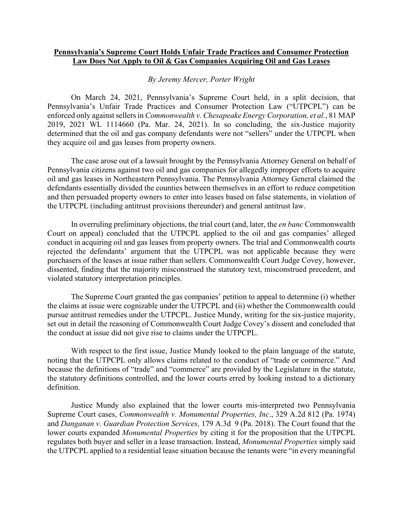## **Pennsylvania's Supreme Court Holds Unfair Trade Practices and Consumer Protection Law Does Not Apply to Oil & Gas Companies Acquiring Oil and Gas Leases**

## *By Jeremy Mercer, Porter Wright*

On March 24, 2021, Pennsylvania's Supreme Court held, in a split decision, that Pennsylvania's Unfair Trade Practices and Consumer Protection Law ("UTPCPL") can be enforced only against sellers in *Commonwealth v. Chesapeake Energy Corporation, et al.*, 81 MAP 2019, 2021 WL 1114660 (Pa. Mar. 24, 2021). In so concluding, the six-Justice majority determined that the oil and gas company defendants were not "sellers" under the UTPCPL when they acquire oil and gas leases from property owners.

The case arose out of a lawsuit brought by the Pennsylvania Attorney General on behalf of Pennsylvania citizens against two oil and gas companies for allegedly improper efforts to acquire oil and gas leases in Northeastern Pennsylvania. The Pennsylvania Attorney General claimed the defendants essentially divided the counties between themselves in an effort to reduce competition and then persuaded property owners to enter into leases based on false statements, in violation of the UTPCPL (including antitrust provisions thereunder) and general antitrust law.

In overruling preliminary objections, the trial court (and, later, the *en banc* Commonwealth Court on appeal) concluded that the UTPCPL applied to the oil and gas companies' alleged conduct in acquiring oil and gas leases from property owners. The trial and Commonwealth courts rejected the defendants' argument that the UTPCPL was not applicable because they were purchasers of the leases at issue rather than sellers. Commonwealth Court Judge Covey, however, dissented, finding that the majority misconstrued the statutory text, misconstrued precedent, and violated statutory interpretation principles.

The Supreme Court granted the gas companies' petition to appeal to determine (i) whether the claims at issue were cognizable under the UTPCPL and (ii) whether the Commonwealth could pursue antitrust remedies under the UTPCPL. Justice Mundy, writing for the six-justice majority, set out in detail the reasoning of Commonwealth Court Judge Covey's dissent and concluded that the conduct at issue did not give rise to claims under the UTPCPL.

With respect to the first issue, Justice Mundy looked to the plain language of the statute, noting that the UTPCPL only allows claims related to the conduct of "trade or commerce." And because the definitions of "trade" and "commerce" are provided by the Legislature in the statute, the statutory definitions controlled, and the lower courts erred by looking instead to a dictionary definition.

Justice Mundy also explained that the lower courts mis-interpreted two Pennsylvania Supreme Court cases, *Commonwealth v. Monumental Properties, Inc*., 329 A.2d 812 (Pa. 1974) and *Danganan v. Guardian Protection Services,* 179 A.3d 9 (Pa. 2018). The Court found that the lower courts expanded *Monumental Properties* by citing it for the proposition that the UTPCPL regulates both buyer and seller in a lease transaction. Instead, *Monumental Properties* simply said the UTPCPL applied to a residential lease situation because the tenants were "in every meaningful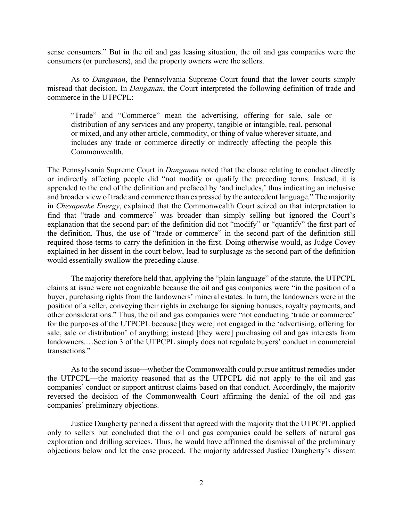sense consumers." But in the oil and gas leasing situation, the oil and gas companies were the consumers (or purchasers), and the property owners were the sellers.

As to *Danganan*, the Pennsylvania Supreme Court found that the lower courts simply misread that decision. In *Danganan*, the Court interpreted the following definition of trade and commerce in the UTPCPL:

"Trade" and "Commerce" mean the advertising, offering for sale, sale or distribution of any services and any property, tangible or intangible, real, personal or mixed, and any other article, commodity, or thing of value wherever situate, and includes any trade or commerce directly or indirectly affecting the people this Commonwealth.

The Pennsylvania Supreme Court in *Danganan* noted that the clause relating to conduct directly or indirectly affecting people did "not modify or qualify the preceding terms. Instead, it is appended to the end of the definition and prefaced by 'and includes,' thus indicating an inclusive and broader view of trade and commerce than expressed by the antecedent language." The majority in *Chesapeake Energy*, explained that the Commonwealth Court seized on that interpretation to find that "trade and commerce" was broader than simply selling but ignored the Court's explanation that the second part of the definition did not "modify" or "quantify" the first part of the definition. Thus, the use of "trade or commerce" in the second part of the definition still required those terms to carry the definition in the first. Doing otherwise would, as Judge Covey explained in her dissent in the court below, lead to surplusage as the second part of the definition would essentially swallow the preceding clause.

The majority therefore held that, applying the "plain language" of the statute, the UTPCPL claims at issue were not cognizable because the oil and gas companies were "in the position of a buyer, purchasing rights from the landowners' mineral estates. In turn, the landowners were in the position of a seller, conveying their rights in exchange for signing bonuses, royalty payments, and other considerations." Thus, the oil and gas companies were "not conducting 'trade or commerce' for the purposes of the UTPCPL because [they were] not engaged in the 'advertising, offering for sale, sale or distribution' of anything; instead [they were] purchasing oil and gas interests from landowners.…Section 3 of the UTPCPL simply does not regulate buyers' conduct in commercial transactions."

As to the second issue—whether the Commonwealth could pursue antitrust remedies under the UTPCPL—the majority reasoned that as the UTPCPL did not apply to the oil and gas companies' conduct or support antitrust claims based on that conduct. Accordingly, the majority reversed the decision of the Commonwealth Court affirming the denial of the oil and gas companies' preliminary objections.

Justice Daugherty penned a dissent that agreed with the majority that the UTPCPL applied only to sellers but concluded that the oil and gas companies could be sellers of natural gas exploration and drilling services. Thus, he would have affirmed the dismissal of the preliminary objections below and let the case proceed. The majority addressed Justice Daugherty's dissent